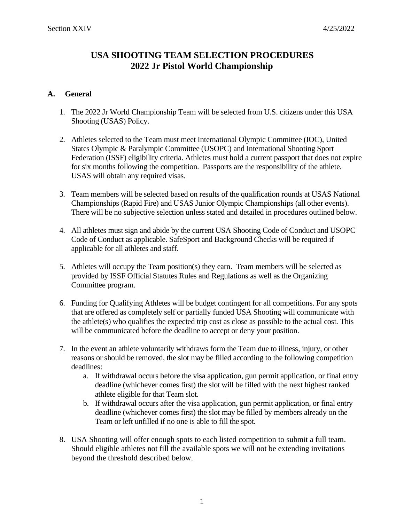# **USA SHOOTING TEAM SELECTION PROCEDURES 2022 Jr Pistol World Championship**

### **A. General**

- 1. The 2022 Jr World Championship Team will be selected from U.S. citizens under this USA Shooting (USAS) Policy.
- 2. Athletes selected to the Team must meet International Olympic Committee (IOC), United States Olympic & Paralympic Committee (USOPC) and International Shooting Sport Federation (ISSF) eligibility criteria. Athletes must hold a current passport that does not expire for six months following the competition. Passports are the responsibility of the athlete. USAS will obtain any required visas.
- 3. Team members will be selected based on results of the qualification rounds at USAS National Championships (Rapid Fire) and USAS Junior Olympic Championships (all other events). There will be no subjective selection unless stated and detailed in procedures outlined below.
- 4. All athletes must sign and abide by the current USA Shooting Code of Conduct and USOPC Code of Conduct as applicable. SafeSport and Background Checks will be required if applicable for all athletes and staff.
- 5. Athletes will occupy the Team position(s) they earn. Team members will be selected as provided by ISSF Official Statutes Rules and Regulations as well as the Organizing Committee program.
- 6. Funding for Qualifying Athletes will be budget contingent for all competitions. For any spots that are offered as completely self or partially funded USA Shooting will communicate with the athlete(s) who qualifies the expected trip cost as close as possible to the actual cost. This will be communicated before the deadline to accept or deny your position.
- 7. In the event an athlete voluntarily withdraws form the Team due to illness, injury, or other reasons or should be removed, the slot may be filled according to the following competition deadlines:
	- a. If withdrawal occurs before the visa application, gun permit application, or final entry deadline (whichever comes first) the slot will be filled with the next highest ranked athlete eligible for that Team slot.
	- b. If withdrawal occurs after the visa application, gun permit application, or final entry deadline (whichever comes first) the slot may be filled by members already on the Team or left unfilled if no one is able to fill the spot.
- 8. USA Shooting will offer enough spots to each listed competition to submit a full team. Should eligible athletes not fill the available spots we will not be extending invitations beyond the threshold described below.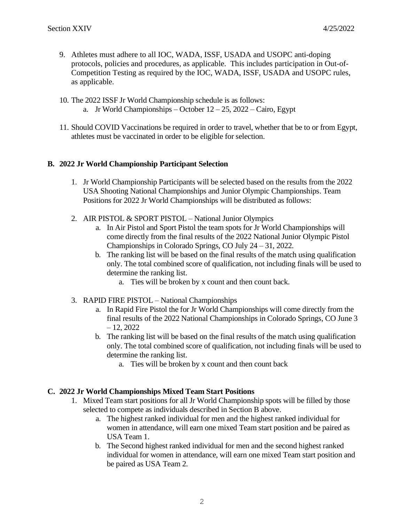- 9. Athletes must adhere to all IOC, WADA, ISSF, USADA and USOPC anti-doping protocols, policies and procedures, as applicable. This includes participation in Out-of-Competition Testing as required by the IOC, WADA, ISSF, USADA and USOPC rules, as applicable.
- 10. The 2022 ISSF Jr World Championship schedule is as follows: a. Jr World Championships – October  $12 - 25$ ,  $2022 - \text{Cairo}$ , Egypt
- 11. Should COVID Vaccinations be required in order to travel, whether that be to or from Egypt, athletes must be vaccinated in order to be eligible for selection.

# **B. 2022 Jr World Championship Participant Selection**

- 1. Jr World Championship Participants will be selected based on the results from the 2022 USA Shooting National Championships and Junior Olympic Championships. Team Positions for 2022 Jr World Championships will be distributed as follows:
- 2. AIR PISTOL & SPORT PISTOL National Junior Olympics
	- a. In Air Pistol and Sport Pistol the team spots for Jr World Championships will come directly from the final results of the 2022 National Junior Olympic Pistol Championships in Colorado Springs, CO July 24 – 31, 2022.
	- b. The ranking list will be based on the final results of the match using qualification only. The total combined score of qualification, not including finals will be used to determine the ranking list.
		- a. Ties will be broken by x count and then count back.
- 3. RAPID FIRE PISTOL National Championships
	- a. In Rapid Fire Pistol the for Jr World Championships will come directly from the final results of the 2022 National Championships in Colorado Springs, CO June 3  $-12, 2022$
	- b. The ranking list will be based on the final results of the match using qualification only. The total combined score of qualification, not including finals will be used to determine the ranking list.
		- a. Ties will be broken by x count and then count back

### **C. 2022 Jr World Championships Mixed Team Start Positions**

- 1. Mixed Team start positions for all Jr World Championship spots will be filled by those selected to compete as individuals described in Section B above.
	- a. The highest ranked individual for men and the highest ranked individual for women in attendance, will earn one mixed Team start position and be paired as USA Team 1.
	- b. The Second highest ranked individual for men and the second highest ranked individual for women in attendance, will earn one mixed Team start position and be paired as USA Team 2.